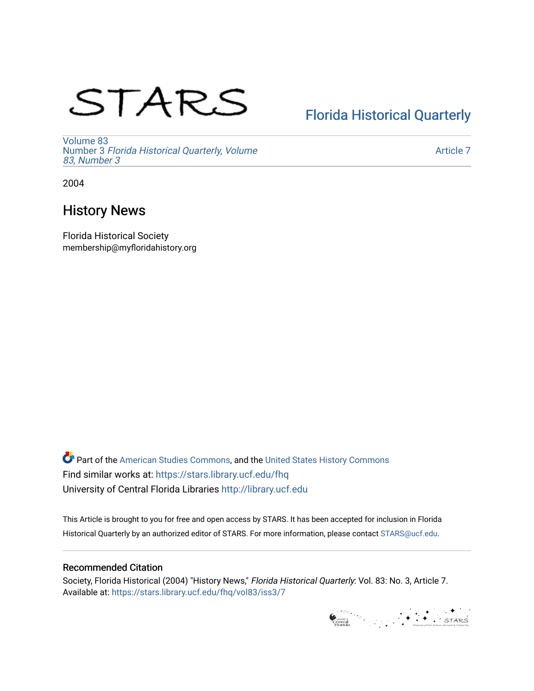# STARS

# [Florida Historical Quarterly](https://stars.library.ucf.edu/fhq)

[Volume 83](https://stars.library.ucf.edu/fhq/vol83) Number 3 [Florida Historical Quarterly, Volume](https://stars.library.ucf.edu/fhq/vol83/iss3)  [83, Number 3](https://stars.library.ucf.edu/fhq/vol83/iss3)

[Article 7](https://stars.library.ucf.edu/fhq/vol83/iss3/7) 

2004

## History News

Florida Historical Society membership@myfloridahistory.org

**C** Part of the [American Studies Commons](http://network.bepress.com/hgg/discipline/439?utm_source=stars.library.ucf.edu%2Ffhq%2Fvol83%2Fiss3%2F7&utm_medium=PDF&utm_campaign=PDFCoverPages), and the United States History Commons Find similar works at: <https://stars.library.ucf.edu/fhq> University of Central Florida Libraries [http://library.ucf.edu](http://library.ucf.edu/) 

This Article is brought to you for free and open access by STARS. It has been accepted for inclusion in Florida Historical Quarterly by an authorized editor of STARS. For more information, please contact [STARS@ucf.edu.](mailto:STARS@ucf.edu)

## Recommended Citation

Society, Florida Historical (2004) "History News," Florida Historical Quarterly: Vol. 83: No. 3, Article 7. Available at: [https://stars.library.ucf.edu/fhq/vol83/iss3/7](https://stars.library.ucf.edu/fhq/vol83/iss3/7?utm_source=stars.library.ucf.edu%2Ffhq%2Fvol83%2Fiss3%2F7&utm_medium=PDF&utm_campaign=PDFCoverPages) 

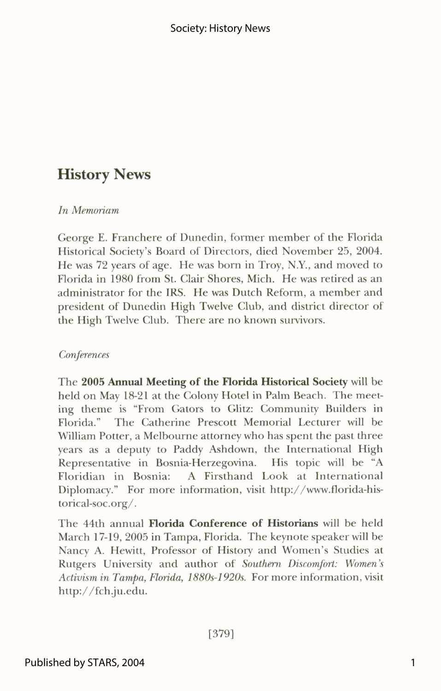## **History News**

#### **In Memoriam**

George E. Franchere of Dunedin, former member of the Florida Historical Society's Board of Directors, died November 25, 2004. He was 72 years of age. He was born in Troy, N.Y., and moved to Florida in 1980 from St. Clair Shores, Mich. He was retired as an administrator for the IRS. He was Dutch Reform, a member and president of Dunedin High Twelve Club, and district director of the High Twelve Club. There are no known survivors.

### **Conferences**

The 2005 Annual **Meeting of the Florida Historical Society** will be held on May 18-21 at the Colony Hotel in Palm Beach. The meeting theme is "From Gators to Glitz: Community Builders in Florida." The Catherine Prescott Memorial Lecturer will be William Potter, a Melbourne attorney who has spent the past three years as a deputy to Paddy Ashdown, the International High Representative in Bosnia-Herzegovina. His topic will be "A Floridian in Bosnia: A Firsthand Look at International Diplomacy." For more information, visit http://www.florida-historical-soc. org/ .

The 44th annual Florida **Conference** of **Historians** will be held March 17-19, 2005 in Tampa, Florida. The keynote speaker will be Nancy A. Hewitt, Professor of History and Women's Studies at Rutgers University and author of *Southern Discomfort: Women's* Activism in Tampa, Florida, 1880s-1920s. For more information, visit http://fch.ju.edu.